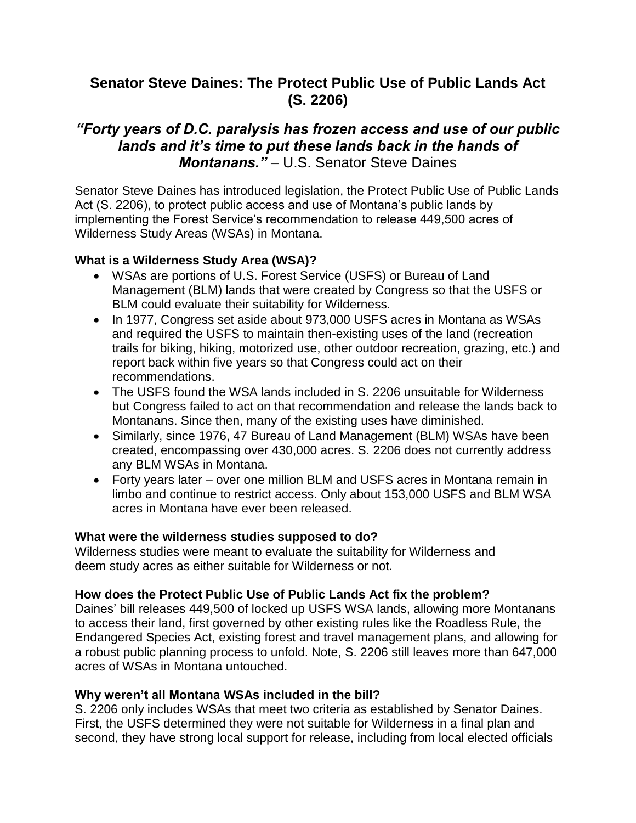# **Senator Steve Daines: The Protect Public Use of Public Lands Act (S. 2206)**

# *"Forty years of D.C. paralysis has frozen access and use of our public lands and it's time to put these lands back in the hands of Montanans."* – U.S. Senator Steve Daines

Senator Steve Daines has introduced legislation, the Protect Public Use of Public Lands Act (S. 2206), to protect public access and use of Montana's public lands by implementing the Forest Service's recommendation to release 449,500 acres of Wilderness Study Areas (WSAs) in Montana.

# **What is a Wilderness Study Area (WSA)?**

- WSAs are portions of U.S. Forest Service (USFS) or Bureau of Land Management (BLM) lands that were created by Congress so that the USFS or BLM could evaluate their suitability for Wilderness.
- In 1977, Congress set aside about 973,000 USFS acres in Montana as WSAs and required the USFS to maintain then-existing uses of the land (recreation trails for biking, hiking, motorized use, other outdoor recreation, grazing, etc.) and report back within five years so that Congress could act on their recommendations.
- The USFS found the WSA lands included in S. 2206 unsuitable for Wilderness but Congress failed to act on that recommendation and release the lands back to Montanans. Since then, many of the existing uses have diminished.
- Similarly, since 1976, 47 Bureau of Land Management (BLM) WSAs have been created, encompassing over 430,000 acres. S. 2206 does not currently address any BLM WSAs in Montana.
- Forty years later over one million BLM and USFS acres in Montana remain in limbo and continue to restrict access. Only about 153,000 USFS and BLM WSA acres in Montana have ever been released.

#### **What were the wilderness studies supposed to do?**

Wilderness studies were meant to evaluate the suitability for Wilderness and deem study acres as either suitable for Wilderness or not.

#### **How does the Protect Public Use of Public Lands Act fix the problem?**

Daines' bill releases 449,500 of locked up USFS WSA lands, allowing more Montanans to access their land, first governed by other existing rules like the Roadless Rule, the Endangered Species Act, existing forest and travel management plans, and allowing for a robust public planning process to unfold. Note, S. 2206 still leaves more than 647,000 acres of WSAs in Montana untouched.

#### **Why weren't all Montana WSAs included in the bill?**

S. 2206 only includes WSAs that meet two criteria as established by Senator Daines. First, the USFS determined they were not suitable for Wilderness in a final plan and second, they have strong local support for release, including from local elected officials